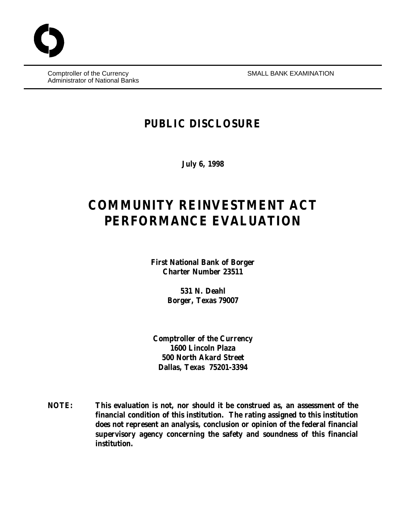Comptroller of the Currency SMALL BANK EXAMINATION Administrator of National Banks

# **PUBLIC DISCLOSURE**

**July 6, 1998**

# **COMMUNITY REINVESTMENT ACT PERFORMANCE EVALUATION**

**First National Bank of Borger Charter Number 23511**

> **531 N. Deahl Borger, Texas 79007**

**Comptroller of the Currency 1600 Lincoln Plaza 500 North Akard Street Dallas, Texas 75201-3394**

**NOTE: This evaluation is not, nor should it be construed as, an assessment of the financial condition of this institution. The rating assigned to this institution does not represent an analysis, conclusion or opinion of the federal financial supervisory agency concerning the safety and soundness of this financial institution.**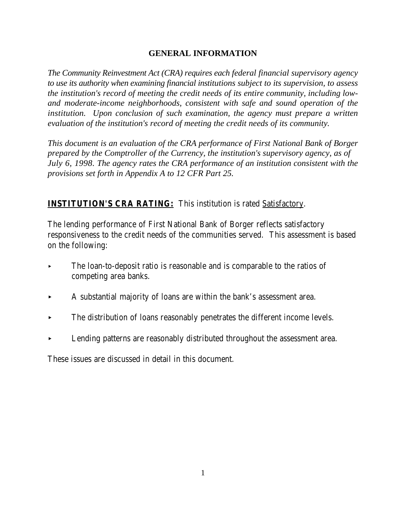#### **GENERAL INFORMATION**

*The Community Reinvestment Act (CRA) requires each federal financial supervisory agency to use its authority when examining financial institutions subject to its supervision, to assess the institution's record of meeting the credit needs of its entire community, including lowand moderate-income neighborhoods, consistent with safe and sound operation of the institution. Upon conclusion of such examination, the agency must prepare a written evaluation of the institution's record of meeting the credit needs of its community.* 

*This document is an evaluation of the CRA performance of First National Bank of Borger prepared by the Comptroller of the Currency, the institution's supervisory agency, as of July 6, 1998. The agency rates the CRA performance of an institution consistent with the provisions set forth in Appendix A to 12 CFR Part 25.*

# **INSTITUTION'S CRA RATING:** This institution is rated Satisfactory.

The lending performance of First National Bank of Borger reflects satisfactory responsiveness to the credit needs of the communities served. This assessment is based on the following:

- $\triangleright$  The loan-to-deposit ratio is reasonable and is comparable to the ratios of competing area banks.
- < A substantial majority of loans are within the bank's assessment area.
- < The distribution of loans reasonably penetrates the different income levels.
- Lending patterns are reasonably distributed throughout the assessment area.

These issues are discussed in detail in this document.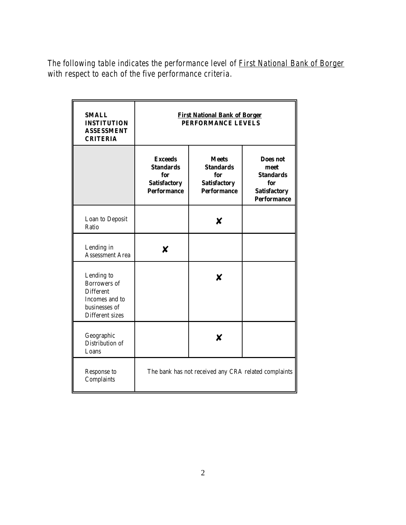*The following table indicates the performance level of First National Bank of Borger with respect to each of the five performance criteria.*

| <b>SMALL</b><br><b>INSTITUTION</b><br><b>ASSESSMENT</b><br><b>CRITERIA</b>                                  | <b>First National Bank of Borger</b><br>PERFORMANCE LEVELS                             |                                                                                      |                                                                                          |  |
|-------------------------------------------------------------------------------------------------------------|----------------------------------------------------------------------------------------|--------------------------------------------------------------------------------------|------------------------------------------------------------------------------------------|--|
|                                                                                                             | <b>Exceeds</b><br><b>Standards</b><br>for<br><b>Satisfactory</b><br><b>Performance</b> | <b>Meets</b><br><b>Standards</b><br>for<br><b>Satisfactory</b><br><b>Performance</b> | Does not<br>meet<br><b>Standards</b><br>for<br><b>Satisfactory</b><br><b>Performance</b> |  |
| Loan to Deposit<br>Ratio                                                                                    |                                                                                        |                                                                                      |                                                                                          |  |
| Lending in<br><b>Assessment Area</b>                                                                        | x                                                                                      |                                                                                      |                                                                                          |  |
| Lending to<br><b>Borrowers</b> of<br><b>Different</b><br>Incomes and to<br>businesses of<br>Different sizes |                                                                                        | x                                                                                    |                                                                                          |  |
| Geographic<br>Distribution of<br>Loans                                                                      |                                                                                        | X                                                                                    |                                                                                          |  |
| Response to<br>Complaints                                                                                   | The bank has not received any CRA related complaints                                   |                                                                                      |                                                                                          |  |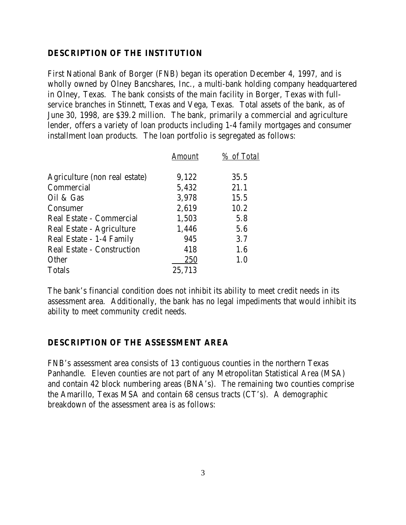#### **DESCRIPTION OF THE INSTITUTION**

First National Bank of Borger (FNB) began its operation December 4, 1997, and is wholly owned by Olney Bancshares, Inc., a multi-bank holding company headquartered in Olney, Texas. The bank consists of the main facility in Borger, Texas with fullservice branches in Stinnett, Texas and Vega, Texas. Total assets of the bank, as of June 30, 1998, are \$39.2 million. The bank, primarily a commercial and agriculture lender, offers a variety of loan products including 1-4 family mortgages and consumer installment loan products. The loan portfolio is segregated as follows:

|                                   | Amount | % of Total |
|-----------------------------------|--------|------------|
| Agriculture (non real estate)     | 9,122  | 35.5       |
| Commercial                        | 5,432  | 21.1       |
| Oil & Gas                         | 3,978  | 15.5       |
| Consumer                          | 2,619  | 10.2       |
| Real Estate - Commercial          | 1,503  | 5.8        |
| Real Estate - Agriculture         | 1,446  | 5.6        |
| Real Estate - 1-4 Family          | 945    | 3.7        |
| <b>Real Estate - Construction</b> | 418    | 1.6        |
| Other                             | 250    | 1.0        |
| <b>Totals</b>                     | 25,713 |            |

The bank's financial condition does not inhibit its ability to meet credit needs in its assessment area. Additionally, the bank has no legal impediments that would inhibit its ability to meet community credit needs.

#### **DESCRIPTION OF THE ASSESSMENT AREA**

FNB's assessment area consists of 13 contiguous counties in the northern Texas Panhandle. Eleven counties are not part of any Metropolitan Statistical Area (MSA) and contain 42 block numbering areas (BNA's). The remaining two counties comprise the Amarillo, Texas MSA and contain 68 census tracts (CT's). A demographic breakdown of the assessment area is as follows: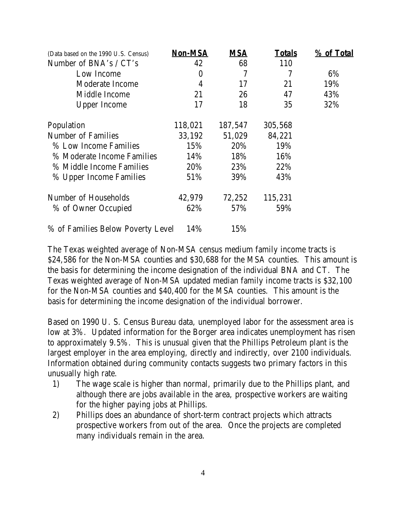| (Data based on the 1990 U.S. Census) | <b>Non-MSA</b>   | <b>MSA</b> | <b>Totals</b> | % of Total |
|--------------------------------------|------------------|------------|---------------|------------|
| Number of BNA's / CT's               | 42               | 68         | 110           |            |
| Low Income                           | $\boldsymbol{0}$ | 7          | 7             | 6%         |
| Moderate Income                      | 4                | 17         | 21            | 19%        |
| Middle Income                        | 21               | 26         | 47            | 43%        |
| <b>Upper Income</b>                  | 17               | 18         | 35            | 32%        |
| Population                           | 118,021          | 187,547    | 305,568       |            |
| <b>Number of Families</b>            | 33,192           | 51,029     | 84,221        |            |
| % Low Income Families                | 15%              | 20%        | 19%           |            |
| % Moderate Income Families           | 14%              | 18%        | 16%           |            |
| % Middle Income Families             | 20%              | 23%        | 22%           |            |
| % Upper Income Families              | 51%              | 39%        | 43%           |            |
| Number of Households                 | 42,979           | 72,252     | 115,231       |            |
| % of Owner Occupied                  | 62%              | 57%        | 59%           |            |
| % of Families Below Poverty Level    | 14%              | 15%        |               |            |

The Texas weighted average of Non-MSA census medium family income tracts is \$24,586 for the Non-MSA counties and \$30,688 for the MSA counties. This amount is the basis for determining the income designation of the individual BNA and CT. The Texas weighted average of Non-MSA updated median family income tracts is \$32,100 for the Non-MSA counties and \$40,400 for the MSA counties. This amount is the basis for determining the income designation of the individual borrower.

Based on 1990 U. S. Census Bureau data, unemployed labor for the assessment area is low at 3%. Updated information for the Borger area indicates unemployment has risen to approximately 9.5%. This is unusual given that the Phillips Petroleum plant is the largest employer in the area employing, directly and indirectly, over 2100 individuals. Information obtained during community contacts suggests two primary factors in this unusually high rate.

- 1) The wage scale is higher than normal, primarily due to the Phillips plant, and although there are jobs available in the area, prospective workers are waiting for the higher paying jobs at Phillips.
- 2) Phillips does an abundance of short-term contract projects which attracts prospective workers from out of the area. Once the projects are completed many individuals remain in the area.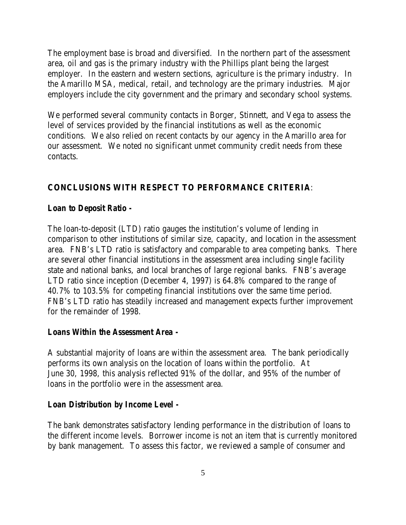The employment base is broad and diversified. In the northern part of the assessment area, oil and gas is the primary industry with the Phillips plant being the largest employer. In the eastern and western sections, agriculture is the primary industry. In the Amarillo MSA, medical, retail, and technology are the primary industries. Major employers include the city government and the primary and secondary school systems.

We performed several community contacts in Borger, Stinnett, and Vega to assess the level of services provided by the financial institutions as well as the economic conditions. We also relied on recent contacts by our agency in the Amarillo area for our assessment. We noted no significant unmet community credit needs from these contacts.

# **CONCLUSIONS WITH RESPECT TO PERFORMANCE CRITERIA**:

#### *Loan to Deposit Ratio -*

The loan-to-deposit (LTD) ratio gauges the institution's volume of lending in comparison to other institutions of similar size, capacity, and location in the assessment area. FNB's LTD ratio is satisfactory and comparable to area competing banks. There are several other financial institutions in the assessment area including single facility state and national banks, and local branches of large regional banks. FNB's average LTD ratio since inception (December 4, 1997) is 64.8% compared to the range of 40.7% to 103.5% for competing financial institutions over the same time period. FNB's LTD ratio has steadily increased and management expects further improvement for the remainder of 1998.

#### *Loans Within the Assessment Area -*

A substantial majority of loans are within the assessment area. The bank periodically performs its own analysis on the location of loans within the portfolio. At June 30, 1998, this analysis reflected 91% of the dollar, and 95% of the number of loans in the portfolio were in the assessment area.

#### *Loan Distribution by Income Level -*

The bank demonstrates satisfactory lending performance in the distribution of loans to the different income levels. Borrower income is not an item that is currently monitored by bank management. To assess this factor, we reviewed a sample of consumer and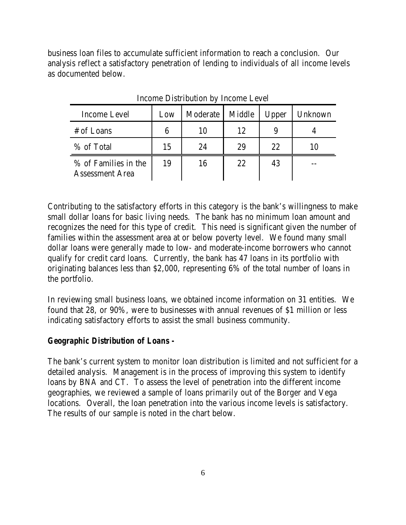business loan files to accumulate sufficient information to reach a conclusion. Our analysis reflect a satisfactory penetration of lending to individuals of all income levels as documented below.

| Income Level                                   | Low | Moderate | Middle | Upper | Unknown |
|------------------------------------------------|-----|----------|--------|-------|---------|
| # of Loans                                     |     |          | 12     |       |         |
| % of Total                                     | 15  | 24       | 29     | 22    |         |
| % of Families in the<br><b>Assessment Area</b> | 19  | 16       | 22     | 43    |         |

Income Distribution by Income Level

Contributing to the satisfactory efforts in this category is the bank's willingness to make small dollar loans for basic living needs. The bank has no minimum loan amount and recognizes the need for this type of credit. This need is significant given the number of families within the assessment area at or below poverty level. We found many small dollar loans were generally made to low- and moderate-income borrowers who cannot qualify for credit card loans. Currently, the bank has 47 loans in its portfolio with originating balances less than \$2,000, representing 6% of the total number of loans in the portfolio.

In reviewing small business loans, we obtained income information on 31 entities. We found that 28, or 90%, were to businesses with annual revenues of \$1 million or less indicating satisfactory efforts to assist the small business community.

#### *Geographic Distribution of Loans -*

The bank's current system to monitor loan distribution is limited and not sufficient for a detailed analysis. Management is in the process of improving this system to identify loans by BNA and CT. To assess the level of penetration into the different income geographies, we reviewed a sample of loans primarily out of the Borger and Vega locations. Overall, the loan penetration into the various income levels is satisfactory. The results of our sample is noted in the chart below.